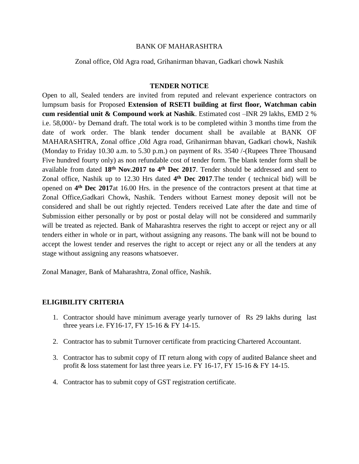## BANK OF MAHARASHTRA

Zonal office, Old Agra road, Grihanirman bhavan, Gadkari chowk Nashik

## **TENDER NOTICE**

Open to all, Sealed tenders are invited from reputed and relevant experience contractors on lumpsum basis for Proposed **Extension of RSETI building at first floor, Watchman cabin cum residential unit & Compound work at Nashik**. Estimated cost –INR 29 lakhs, EMD 2 % i.e. 58,000/- by Demand draft. The total work is to be completed within 3 months time from the date of work order. The blank tender document shall be available at BANK OF MAHARASHTRA, Zonal office ,Old Agra road, Grihanirman bhavan, Gadkari chowk, Nashik (Monday to Friday 10.30 a.m. to 5.30 p.m.) on payment of Rs. 3540 /-(Rupees Three Thousand Five hundred fourty only) as non refundable cost of tender form. The blank tender form shall be available from dated **18th Nov.2017 to 4 th Dec 2017**. Tender should be addressed and sent to Zonal office, Nashik up to 12.30 Hrs dated **4 th Dec 2017**.The tender ( technical bid) will be opened on 4<sup>th</sup> Dec 2017at 16.00 Hrs. in the presence of the contractors present at that time at Zonal Office,Gadkari Chowk, Nashik. Tenders without Earnest money deposit will not be considered and shall be out rightly rejected. Tenders received Late after the date and time of Submission either personally or by post or postal delay will not be considered and summarily will be treated as rejected. Bank of Maharashtra reserves the right to accept or reject any or all tenders either in whole or in part, without assigning any reasons. The bank will not be bound to accept the lowest tender and reserves the right to accept or reject any or all the tenders at any stage without assigning any reasons whatsoever.

Zonal Manager, Bank of Maharashtra, Zonal office, Nashik.

## **ELIGIBILITY CRITERIA**

- 1. Contractor should have minimum average yearly turnover of Rs 29 lakhs during last three years i.e. FY16-17, FY 15-16 & FY 14-15.
- 2. Contractor has to submit Turnover certificate from practicing Chartered Accountant.
- 3. Contractor has to submit copy of IT return along with copy of audited Balance sheet and profit & loss statement for last three years i.e. FY 16-17, FY 15-16 & FY 14-15.
- 4. Contractor has to submit copy of GST registration certificate.